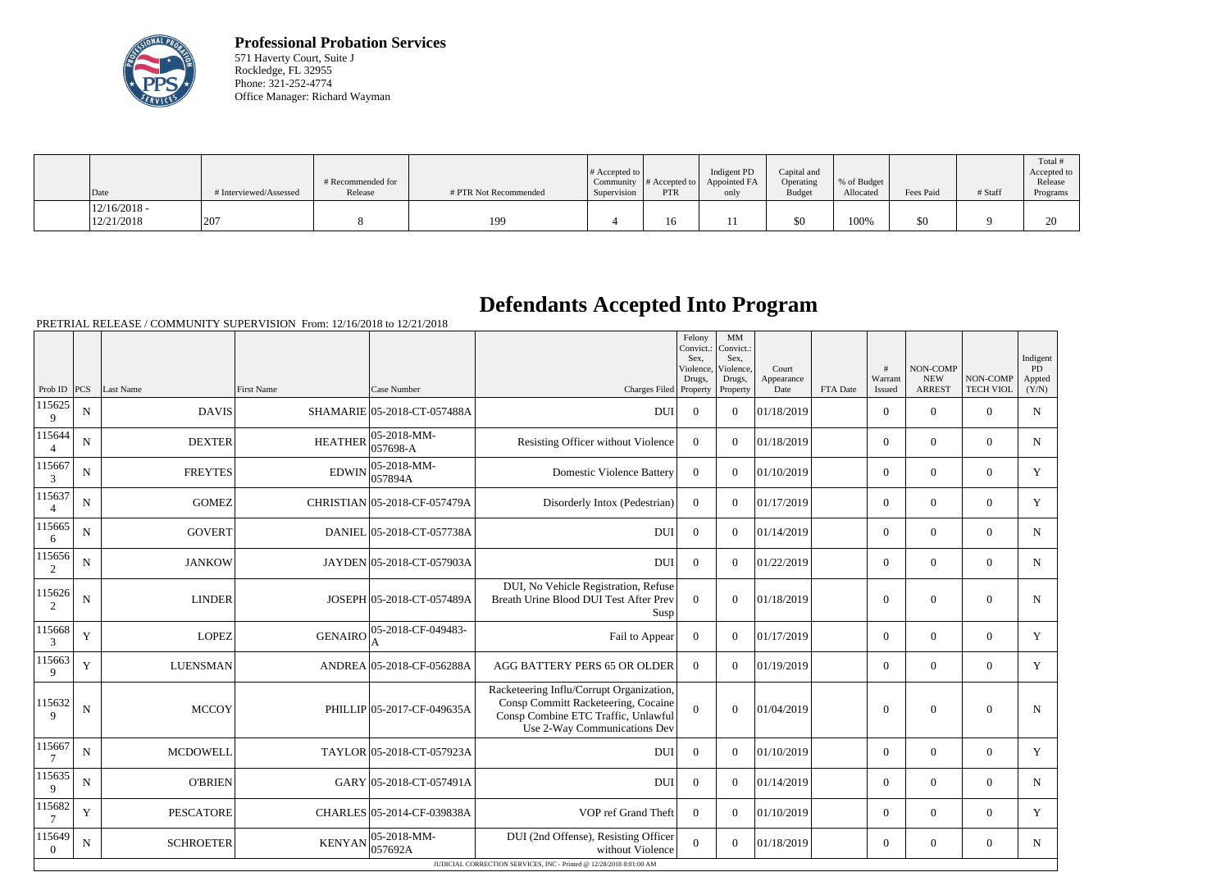

**Professional Probation Services** 571 Haverty Court, Suite J Rockledge, FL 32955 Phone: 321-252-4774 Office Manager: Richard Wayman

| Date                         | # Interviewed/Assessed | # Recommended for<br>Release | # PTR Not Recommended | $\#$ Accepted to<br>Supervision | Community $#$ Accepted to<br><b>PTR</b> | Indigent PD<br>Appointed FA<br>only | Capital and<br>Operating<br><b>Budget</b> | % of Budget<br>Allocated | Fees Paid | # Staff | Total i<br>Accepted to<br>Release<br>Programs |
|------------------------------|------------------------|------------------------------|-----------------------|---------------------------------|-----------------------------------------|-------------------------------------|-------------------------------------------|--------------------------|-----------|---------|-----------------------------------------------|
| $12/16/2018$ -<br>12/21/2018 | 207                    |                              | 199                   |                                 | 16                                      | 11                                  | \$0                                       | 100%                     | \$0       |         | $\bigcap$                                     |

## **Defendants Accepted Into Program**

PRETRIAL RELEASE / COMMUNITY SUPERVISION From: 12/16/2018 to 12/21/2018

|                            |                |                  |                |                              |                                                                                                                                                        | Felony<br>Sex.<br>Violence,<br>Drugs, | $\mbox{MM}$<br>Convict.:   Convict.:<br>Sex.<br>Violence.<br>Drugs, | Court<br>Appearance |          | #<br>Warrant   | NON-COMP<br><b>NEW</b> | NON-COMP         | Indigent<br><b>PD</b><br>Appted |
|----------------------------|----------------|------------------|----------------|------------------------------|--------------------------------------------------------------------------------------------------------------------------------------------------------|---------------------------------------|---------------------------------------------------------------------|---------------------|----------|----------------|------------------------|------------------|---------------------------------|
| Prob ID                    | PCS            | Last Name        | First Name     | Case Number                  | Charges Filed Property                                                                                                                                 |                                       | Property                                                            | Date                | FTA Date | Issued         | <b>ARREST</b>          | <b>TECH VIOL</b> | (Y/N)                           |
| 115625<br>9                | $\mathbf N$    | <b>DAVIS</b>     |                | SHAMARIE 05-2018-CT-057488A  | <b>DUI</b>                                                                                                                                             | $\Omega$                              | $\theta$                                                            | 01/18/2019          |          | $\overline{0}$ | $\theta$               | $\Omega$         | N                               |
| 115644<br>$\overline{4}$   | N              | <b>DEXTER</b>    | <b>HEATHER</b> | 05-2018-MM-<br>057698-A      | Resisting Officer without Violence                                                                                                                     | $\Omega$                              | $\Omega$                                                            | 01/18/2019          |          | $\Omega$       | $\theta$               | $\overline{0}$   | N                               |
| 115667<br>3                | N              | <b>FREYTES</b>   | <b>EDWIN</b>   | 05-2018-MM-<br>057894A       | <b>Domestic Violence Battery</b>                                                                                                                       | $\Omega$                              | $\Omega$                                                            | 01/10/2019          |          | $\Omega$       | $\theta$               | $\overline{0}$   | Y                               |
| 115637<br>$\overline{4}$   | $\mathbf N$    | <b>GOMEZ</b>     |                | CHRISTIAN 05-2018-CF-057479A | Disorderly Intox (Pedestrian)                                                                                                                          | $\bf{0}$                              | $\Omega$                                                            | 01/17/2019          |          | $\overline{0}$ | $\boldsymbol{0}$       | $\overline{0}$   | Y                               |
| 115665<br>6                | $\mathbf N$    | <b>GOVERT</b>    |                | DANIEL 05-2018-CT-057738A    | <b>DUI</b>                                                                                                                                             | $\overline{0}$                        | $\Omega$                                                            | 01/14/2019          |          | $\overline{0}$ | $\Omega$               | $\overline{0}$   | N                               |
| 115656<br>2                | N              | <b>JANKOW</b>    |                | JAYDEN 05-2018-CT-057903A    | <b>DUI</b>                                                                                                                                             | $\overline{0}$                        | $\theta$                                                            | 01/22/2019          |          | $\Omega$       | $\Omega$               | $\overline{0}$   | $\mathbf N$                     |
| 115626<br>2                | N              | <b>LINDER</b>    |                | JOSEPH 05-2018-CT-057489A    | DUI, No Vehicle Registration, Refuse<br>Breath Urine Blood DUI Test After Prev<br>Susp                                                                 | $\Omega$                              | $\theta$                                                            | 01/18/2019          |          | $\theta$       | $\Omega$               | $\overline{0}$   | N                               |
| 115668<br>3                | Y              | <b>LOPEZ</b>     | <b>GENAIRO</b> | 05-2018-CF-049483-<br>А      | Fail to Appear                                                                                                                                         | $\overline{0}$                        | $\theta$                                                            | 01/17/2019          |          | $\Omega$       | $\Omega$               | $\Omega$         | Y                               |
| 115663<br>9                | Y              | <b>LUENSMAN</b>  |                | ANDREA 05-2018-CF-056288A    | AGG BATTERY PERS 65 OR OLDER                                                                                                                           | $\Omega$                              | $\Omega$                                                            | 01/19/2019          |          | $\Omega$       | $\Omega$               | $\overline{0}$   | Y                               |
| 115632<br>$\mathbf{Q}$     | N              | <b>MCCOY</b>     |                | PHILLIP 05-2017-CF-049635A   | Racketeering Influ/Corrupt Organization,<br>Consp Committ Racketeering, Cocaine<br>Consp Combine ETC Traffic, Unlawful<br>Use 2-Way Communications Dev | $\Omega$                              | $\theta$                                                            | 01/04/2019          |          | $\Omega$       | $\Omega$               | $\theta$         | N                               |
| 115667<br>$\overline{7}$   | N              | <b>MCDOWELL</b>  |                | TAYLOR 05-2018-CT-057923A    | <b>DUI</b>                                                                                                                                             | $\Omega$                              | $\overline{0}$                                                      | 01/10/2019          |          | $\overline{0}$ | $\mathbf{0}$           | $\overline{0}$   | Y                               |
| 115635<br>9                | $\overline{N}$ | <b>O'BRIEN</b>   |                | GARY 05-2018-CT-057491A      | <b>DUI</b>                                                                                                                                             | $\Omega$                              | $\Omega$                                                            | 01/14/2019          |          | $\overline{0}$ | $\mathbf{0}$           | $\overline{0}$   | ${\bf N}$                       |
| 115682<br>7                | Y              | <b>PESCATORE</b> |                | CHARLES 05-2014-CF-039838A   | VOP ref Grand Theft                                                                                                                                    | $\mathbf{0}$                          | $\Omega$                                                            | 01/10/2019          |          | $\overline{0}$ | $\mathbf{0}$           | $\mathbf{0}$     | Y                               |
| 115649<br>$\boldsymbol{0}$ | $\mathbf N$    | <b>SCHROETER</b> | <b>KENYAN</b>  | 05-2018-MM-<br>057692A       | DUI (2nd Offense), Resisting Officer<br>without Violence                                                                                               | $\overline{0}$                        | $\overline{0}$                                                      | 01/18/2019          |          | $\overline{0}$ | $\boldsymbol{0}$       | $\overline{0}$   | $\mathbf N$                     |
|                            |                |                  |                |                              | JUDICIAL CORRECTION SERVICES, INC - Printed @ 12/28/2018 8:01:00 AM                                                                                    |                                       |                                                                     |                     |          |                |                        |                  |                                 |